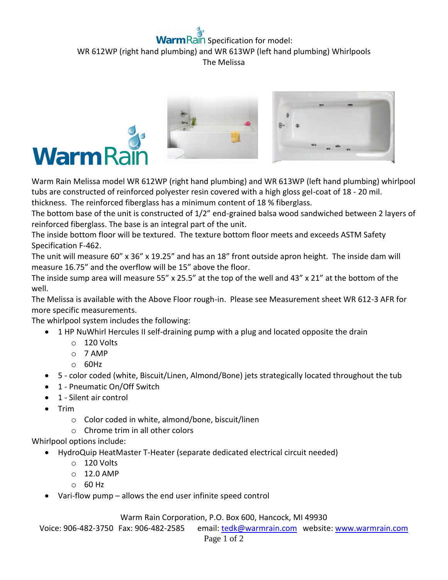## **Rain** Specification for model: WR 612WP (right hand plumbing) and WR 613WP (left hand plumbing) Whirlpools The Melissa





Warm Rain Melissa model WR 612WP (right hand plumbing) and WR 613WP (left hand plumbing) whirlpool tubs are constructed of reinforced polyester resin covered with a high gloss gel-coat of 18 - 20 mil. thickness. The reinforced fiberglass has a minimum content of 18 % fiberglass.

The bottom base of the unit is constructed of 1/2" end-grained balsa wood sandwiched between 2 layers of reinforced fiberglass. The base is an integral part of the unit.

The inside bottom floor will be textured. The texture bottom floor meets and exceeds ASTM Safety Specification F-462.

The unit will measure 60" x 36" x 19.25" and has an 18" front outside apron height. The inside dam will measure 16.75" and the overflow will be 15" above the floor.

The inside sump area will measure 55" x 25.5" at the top of the well and 43" x 21" at the bottom of the well.

The Melissa is available with the Above Floor rough-in. Please see Measurement sheet WR 612-3 AFR for more specific measurements.

The whirlpool system includes the following:

- 1 HP NuWhirl Hercules II self-draining pump with a plug and located opposite the drain
	- o 120 Volts
	- o 7 AMP
	- $O$  60Hz
- 5 color coded (white, Biscuit/Linen, Almond/Bone) jets strategically located throughout the tub
- 1 Pneumatic On/Off Switch
- 1 Silent air control
- $\bullet$  Trim
	- o Color coded in white, almond/bone, biscuit/linen
	- o Chrome trim in all other colors

Whirlpool options include:

- HydroQuip HeatMaster T-Heater (separate dedicated electrical circuit needed)
	- o 120 Volts
	- $O$  12.0 AMP
	- o 60 Hz
- Vari-flow pump allows the end user infinite speed control

Warm Rain Corporation, P.O. Box 600, Hancock, MI 49930

Voice: 906-482-3750 Fax: 906-482-2585 email[: tedk@warmrain.com](mailto:tedk@warmrain.com) website: [www.warmrain.com](http://www.warmrain.com/)